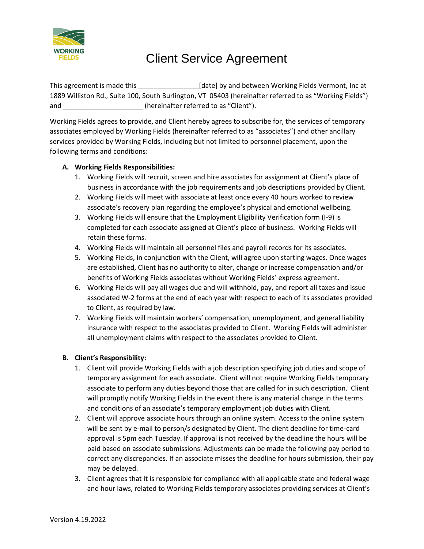

This agreement is made this **Example 20** [date] by and between Working Fields Vermont, Inc at 1889 Williston Rd., Suite 100, South Burlington, VT 05403 (hereinafter referred to as "Working Fields") and \_\_\_\_\_\_\_\_\_\_\_\_\_\_\_\_\_\_\_\_\_\_\_(hereinafter referred to as "Client").

Working Fields agrees to provide, and Client hereby agrees to subscribe for, the services of temporary associates employed by Working Fields (hereinafter referred to as "associates") and other ancillary services provided by Working Fields, including but not limited to personnel placement, upon the following terms and conditions:

# **A. Working Fields Responsibilities:**

- 1. Working Fields will recruit, screen and hire associates for assignment at Client's place of business in accordance with the job requirements and job descriptions provided by Client.
- 2. Working Fields will meet with associate at least once every 40 hours worked to review associate's recovery plan regarding the employee's physical and emotional wellbeing.
- 3. Working Fields will ensure that the Employment Eligibility Verification form (I-9) is completed for each associate assigned at Client's place of business. Working Fields will retain these forms.
- 4. Working Fields will maintain all personnel files and payroll records for its associates.
- 5. Working Fields, in conjunction with the Client, will agree upon starting wages. Once wages are established, Client has no authority to alter, change or increase compensation and/or benefits of Working Fields associates without Working Fields' express agreement.
- 6. Working Fields will pay all wages due and will withhold, pay, and report all taxes and issue associated W-2 forms at the end of each year with respect to each of its associates provided to Client, as required by law.
- 7. Working Fields will maintain workers' compensation, unemployment, and general liability insurance with respect to the associates provided to Client. Working Fields will administer all unemployment claims with respect to the associates provided to Client.

# **B. Client's Responsibility:**

- 1. Client will provide Working Fields with a job description specifying job duties and scope of temporary assignment for each associate. Client will not require Working Fields temporary associate to perform any duties beyond those that are called for in such description. Client will promptly notify Working Fields in the event there is any material change in the terms and conditions of an associate's temporary employment job duties with Client.
- 2. Client will approve associate hours through an online system. Access to the online system will be sent by e-mail to person/s designated by Client. The client deadline for time-card approval is 5pm each Tuesday. If approval is not received by the deadline the hours will be paid based on associate submissions. Adjustments can be made the following pay period to correct any discrepancies. If an associate misses the deadline for hours submission, their pay may be delayed.
- 3. Client agrees that it is responsible for compliance with all applicable state and federal wage and hour laws, related to Working Fields temporary associates providing services at Client's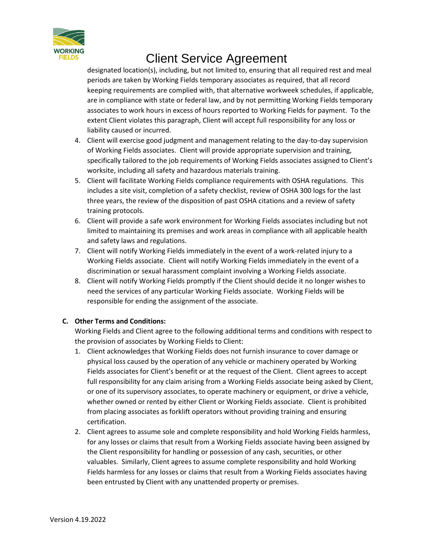

designated location(s), including, but not limited to, ensuring that all required rest and meal periods are taken by Working Fields temporary associates as required, that all record keeping requirements are complied with, that alternative workweek schedules, if applicable, are in compliance with state or federal law, and by not permitting Working Fields temporary associates to work hours in excess of hours reported to Working Fields for payment. To the extent Client violates this paragraph, Client will accept full responsibility for any loss or liability caused or incurred.

- 4. Client will exercise good judgment and management relating to the day-to-day supervision of Working Fields associates. Client will provide appropriate supervision and training, specifically tailored to the job requirements of Working Fields associates assigned to Client's worksite, including all safety and hazardous materials training.
- 5. Client will facilitate Working Fields compliance requirements with OSHA regulations. This includes a site visit, completion of a safety checklist, review of OSHA 300 logs for the last three years, the review of the disposition of past OSHA citations and a review of safety training protocols.
- 6. Client will provide a safe work environment for Working Fields associates including but not limited to maintaining its premises and work areas in compliance with all applicable health and safety laws and regulations.
- 7. Client will notify Working Fields immediately in the event of a work-related injury to a Working Fields associate. Client will notify Working Fields immediately in the event of a discrimination or sexual harassment complaint involving a Working Fields associate.
- 8. Client will notify Working Fields promptly if the Client should decide it no longer wishes to need the services of any particular Working Fields associate. Working Fields will be responsible for ending the assignment of the associate.

# **C. Other Terms and Conditions:**

Working Fields and Client agree to the following additional terms and conditions with respect to the provision of associates by Working Fields to Client:

- 1. Client acknowledges that Working Fields does not furnish insurance to cover damage or physical loss caused by the operation of any vehicle or machinery operated by Working Fields associates for Client's benefit or at the request of the Client. Client agrees to accept full responsibility for any claim arising from a Working Fields associate being asked by Client, or one of its supervisory associates, to operate machinery or equipment, or drive a vehicle, whether owned or rented by either Client or Working Fields associate. Client is prohibited from placing associates as forklift operators without providing training and ensuring certification.
- 2. Client agrees to assume sole and complete responsibility and hold Working Fields harmless, for any losses or claims that result from a Working Fields associate having been assigned by the Client responsibility for handling or possession of any cash, securities, or other valuables. Similarly, Client agrees to assume complete responsibility and hold Working Fields harmless for any losses or claims that result from a Working Fields associates having been entrusted by Client with any unattended property or premises.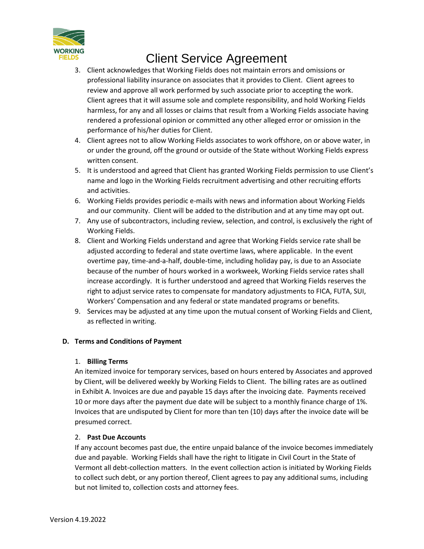

- 3. Client acknowledges that Working Fields does not maintain errors and omissions or professional liability insurance on associates that it provides to Client. Client agrees to review and approve all work performed by such associate prior to accepting the work. Client agrees that it will assume sole and complete responsibility, and hold Working Fields harmless, for any and all losses or claims that result from a Working Fields associate having rendered a professional opinion or committed any other alleged error or omission in the performance of his/her duties for Client.
- 4. Client agrees not to allow Working Fields associates to work offshore, on or above water, in or under the ground, off the ground or outside of the State without Working Fields express written consent.
- 5. It is understood and agreed that Client has granted Working Fields permission to use Client's name and logo in the Working Fields recruitment advertising and other recruiting efforts and activities.
- 6. Working Fields provides periodic e-mails with news and information about Working Fields and our community. Client will be added to the distribution and at any time may opt out.
- 7. Any use of subcontractors, including review, selection, and control, is exclusively the right of Working Fields.
- 8. Client and Working Fields understand and agree that Working Fields service rate shall be adjusted according to federal and state overtime laws, where applicable. In the event overtime pay, time-and-a-half, double-time, including holiday pay, is due to an Associate because of the number of hours worked in a workweek, Working Fields service rates shall increase accordingly. It is further understood and agreed that Working Fields reserves the right to adjust service rates to compensate for mandatory adjustments to FICA, FUTA, SUI, Workers' Compensation and any federal or state mandated programs or benefits.
- 9. Services may be adjusted at any time upon the mutual consent of Working Fields and Client, as reflected in writing.

# **D. Terms and Conditions of Payment**

#### 1. **Billing Terms**

An itemized invoice for temporary services, based on hours entered by Associates and approved by Client, will be delivered weekly by Working Fields to Client. The billing rates are as outlined in Exhibit A. Invoices are due and payable 15 days after the invoicing date. Payments received 10 or more days after the payment due date will be subject to a monthly finance charge of 1%. Invoices that are undisputed by Client for more than ten (10) days after the invoice date will be presumed correct.

#### 2. **Past Due Accounts**

If any account becomes past due, the entire unpaid balance of the invoice becomes immediately due and payable. Working Fields shall have the right to litigate in Civil Court in the State of Vermont all debt-collection matters. In the event collection action is initiated by Working Fields to collect such debt, or any portion thereof, Client agrees to pay any additional sums, including but not limited to, collection costs and attorney fees.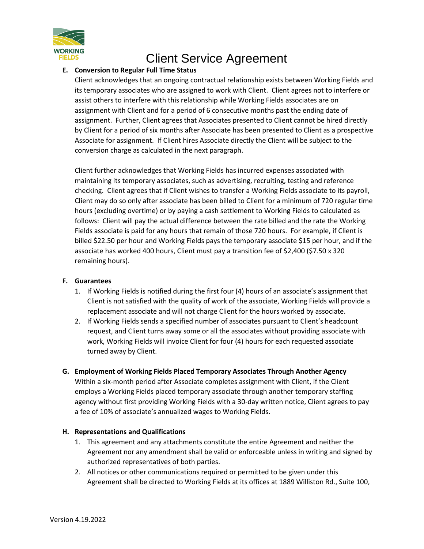

# **E. Conversion to Regular Full Time Status**

Client acknowledges that an ongoing contractual relationship exists between Working Fields and its temporary associates who are assigned to work with Client. Client agrees not to interfere or assist others to interfere with this relationship while Working Fields associates are on assignment with Client and for a period of 6 consecutive months past the ending date of assignment. Further, Client agrees that Associates presented to Client cannot be hired directly by Client for a period of six months after Associate has been presented to Client as a prospective Associate for assignment. If Client hires Associate directly the Client will be subject to the conversion charge as calculated in the next paragraph.

Client further acknowledges that Working Fields has incurred expenses associated with maintaining its temporary associates, such as advertising, recruiting, testing and reference checking. Client agrees that if Client wishes to transfer a Working Fields associate to its payroll, Client may do so only after associate has been billed to Client for a minimum of 720 regular time hours (excluding overtime) or by paying a cash settlement to Working Fields to calculated as follows: Client will pay the actual difference between the rate billed and the rate the Working Fields associate is paid for any hours that remain of those 720 hours. For example, if Client is billed \$22.50 per hour and Working Fields pays the temporary associate \$15 per hour, and if the associate has worked 400 hours, Client must pay a transition fee of \$2,400 (\$7.50 x 320 remaining hours).

#### **F. Guarantees**

- 1. If Working Fields is notified during the first four (4) hours of an associate's assignment that Client is not satisfied with the quality of work of the associate, Working Fields will provide a replacement associate and will not charge Client for the hours worked by associate.
- 2. If Working Fields sends a specified number of associates pursuant to Client's headcount request, and Client turns away some or all the associates without providing associate with work, Working Fields will invoice Client for four (4) hours for each requested associate turned away by Client.
- **G. Employment of Working Fields Placed Temporary Associates Through Another Agency** Within a six-month period after Associate completes assignment with Client, if the Client employs a Working Fields placed temporary associate through another temporary staffing agency without first providing Working Fields with a 30-day written notice, Client agrees to pay a fee of 10% of associate's annualized wages to Working Fields.

# **H. Representations and Qualifications**

- 1. This agreement and any attachments constitute the entire Agreement and neither the Agreement nor any amendment shall be valid or enforceable unless in writing and signed by authorized representatives of both parties.
- 2. All notices or other communications required or permitted to be given under this Agreement shall be directed to Working Fields at its offices at 1889 Williston Rd., Suite 100,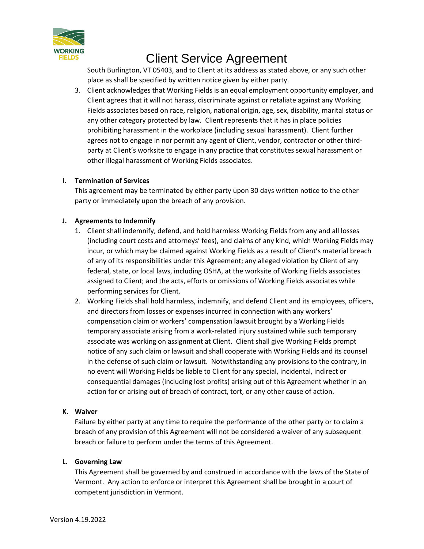

South Burlington, VT 05403, and to Client at its address as stated above, or any such other place as shall be specified by written notice given by either party.

3. Client acknowledges that Working Fields is an equal employment opportunity employer, and Client agrees that it will not harass, discriminate against or retaliate against any Working Fields associates based on race, religion, national origin, age, sex, disability, marital status or any other category protected by law. Client represents that it has in place policies prohibiting harassment in the workplace (including sexual harassment). Client further agrees not to engage in nor permit any agent of Client, vendor, contractor or other thirdparty at Client's worksite to engage in any practice that constitutes sexual harassment or other illegal harassment of Working Fields associates.

### **I. Termination of Services**

This agreement may be terminated by either party upon 30 days written notice to the other party or immediately upon the breach of any provision.

### **J. Agreements to Indemnify**

- 1. Client shall indemnify, defend, and hold harmless Working Fields from any and all losses (including court costs and attorneys' fees), and claims of any kind, which Working Fields may incur, or which may be claimed against Working Fields as a result of Client's material breach of any of its responsibilities under this Agreement; any alleged violation by Client of any federal, state, or local laws, including OSHA, at the worksite of Working Fields associates assigned to Client; and the acts, efforts or omissions of Working Fields associates while performing services for Client.
- 2. Working Fields shall hold harmless, indemnify, and defend Client and its employees, officers, and directors from losses or expenses incurred in connection with any workers' compensation claim or workers' compensation lawsuit brought by a Working Fields temporary associate arising from a work-related injury sustained while such temporary associate was working on assignment at Client. Client shall give Working Fields prompt notice of any such claim or lawsuit and shall cooperate with Working Fields and its counsel in the defense of such claim or lawsuit. Notwithstanding any provisions to the contrary, in no event will Working Fields be liable to Client for any special, incidental, indirect or consequential damages (including lost profits) arising out of this Agreement whether in an action for or arising out of breach of contract, tort, or any other cause of action.

# **K. Waiver**

Failure by either party at any time to require the performance of the other party or to claim a breach of any provision of this Agreement will not be considered a waiver of any subsequent breach or failure to perform under the terms of this Agreement.

#### **L. Governing Law**

This Agreement shall be governed by and construed in accordance with the laws of the State of Vermont. Any action to enforce or interpret this Agreement shall be brought in a court of competent jurisdiction in Vermont.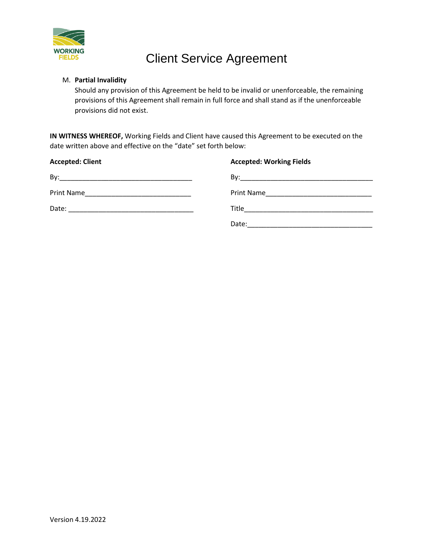

# M. **Partial Invalidity**

Should any provision of this Agreement be held to be invalid or unenforceable, the remaining provisions of this Agreement shall remain in full force and shall stand as if the unenforceable provisions did not exist.

**IN WITNESS WHEREOF,** Working Fields and Client have caused this Agreement to be executed on the date written above and effective on the "date" set forth below:

| <b>Accepted: Client</b> | <b>Accepted: Working Fields</b> |
|-------------------------|---------------------------------|
|                         |                                 |
|                         |                                 |
|                         |                                 |
|                         | Date:                           |